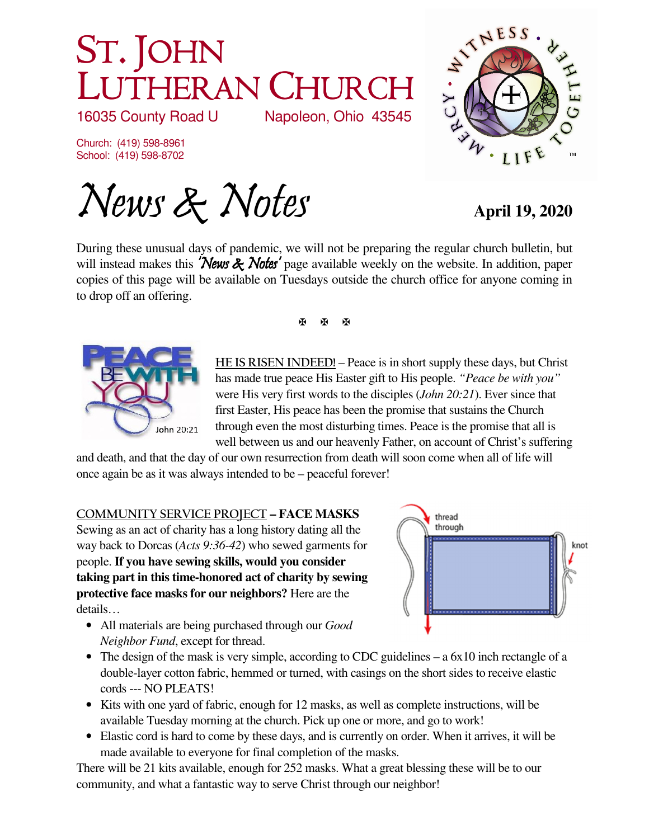# ST. JOHN LUTHERAN CHURCH<br>16035 County Road U Napoleon, Ohio 43545

16035 County Road U

Church: (419) 598-8961 School: (419) 598-8702

News & Notes **April 19, 2020** 



During these unusual days of pandemic, we will not be preparing the regular church bulletin, but will instead makes this **'News & Notes'** page available weekly on the website. In addition, paper copies of this page will be available on Tuesdays outside the church office for anyone coming in to drop off an offering.



医图图

**HE IS RISEN INDEED!** – Peace is in short supply these days, but Christ has made true peace His Easter gift to His people. *"Peace be with you"*  were His very first words to the disciples (*John 20:21*). Ever since that first Easter, His peace has been the promise that sustains the Church through even the most disturbing times. Peace is the promise that all is well between us and our heavenly Father, on account of Christ's suffering

and death, and that the day of our own resurrection from death will soon come when all of life will once again be as it was always intended to be – peaceful forever!

## **COMMUNITY SERVICE PROJECT – FACE MASKS**

Sewing as an act of charity has a long history dating all the way back to Dorcas (*Acts 9:36-42*) who sewed garments for people. **If you have sewing skills, would you consider taking part in this time-honored act of charity by sewing protective face masks for our neighbors?** Here are the details…

• All materials are being purchased through our *Good Neighbor Fund*, except for thread.



- The design of the mask is very simple, according to CDC guidelines a 6x10 inch rectangle of a double-layer cotton fabric, hemmed or turned, with casings on the short sides to receive elastic cords --- NO PLEATS!
- Kits with one yard of fabric, enough for 12 masks, as well as complete instructions, will be available Tuesday morning at the church. Pick up one or more, and go to work!
- Elastic cord is hard to come by these days, and is currently on order. When it arrives, it will be made available to everyone for final completion of the masks.

There will be 21 kits available, enough for 252 masks. What a great blessing these will be to our community, and what a fantastic way to serve Christ through our neighbor!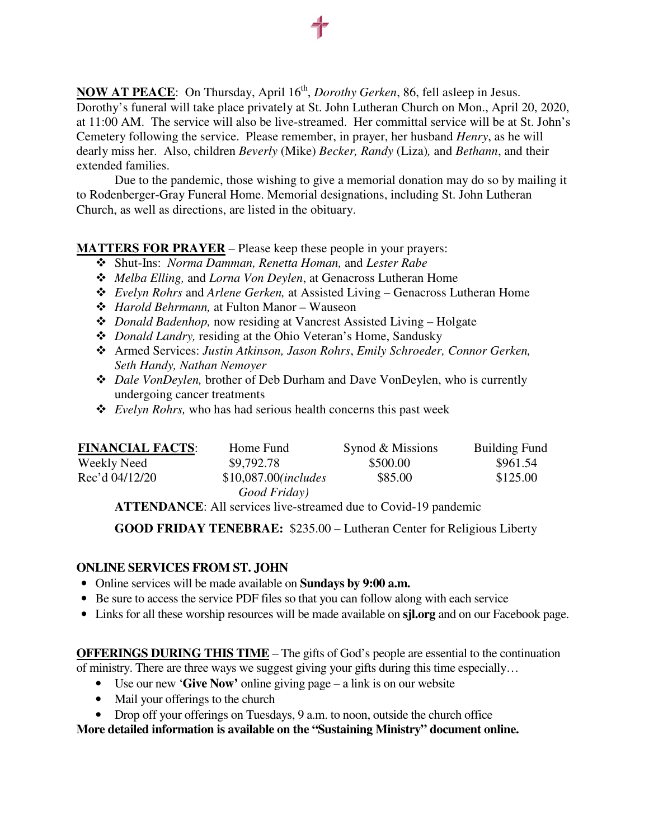**NOW AT PEACE:** On Thursday, April 16<sup>th</sup>, *Dorothy Gerken*, 86, fell asleep in Jesus. Dorothy's funeral will take place privately at St. John Lutheran Church on Mon., April 20, 2020, at 11:00 AM. The service will also be live-streamed. Her committal service will be at St. John's Cemetery following the service. Please remember, in prayer, her husband *Henry*, as he will dearly miss her. Also, children *Beverly* (Mike) *Becker, Randy* (Liza)*,* and *Bethann*, and their extended families.

 Due to the pandemic, those wishing to give a memorial donation may do so by mailing it to Rodenberger-Gray Funeral Home. Memorial designations, including St. John Lutheran Church, as well as directions, are listed in the obituary.

### **MATTERS FOR PRAYER** – Please keep these people in your prayers:

- Shut-Ins: *Norma Damman, Renetta Homan,* and *Lester Rabe*
- *Melba Elling,* and *Lorna Von Deylen*, at Genacross Lutheran Home
- *Evelyn Rohrs* and *Arlene Gerken,* at Assisted Living Genacross Lutheran Home
- *Harold Behrmann,* at Fulton Manor Wauseon
- *Donald Badenhop,* now residing at Vancrest Assisted Living Holgate
- *Donald Landry,* residing at the Ohio Veteran's Home, Sandusky
- Armed Services: *Justin Atkinson, Jason Rohrs*, *Emily Schroeder, Connor Gerken, Seth Handy, Nathan Nemoyer*
- *Dale VonDeylen,* brother of Deb Durham and Dave VonDeylen, who is currently undergoing cancer treatments
- *Evelyn Rohrs,* who has had serious health concerns this past week

| <b>FINANCIAL FACTS:</b> | Home Fund                              | Synod & Missions | <b>Building Fund</b> |
|-------------------------|----------------------------------------|------------------|----------------------|
| Weekly Need             | \$9,792.78                             | \$500.00         | \$961.54             |
| Rec'd 04/12/20          | $$10,087.00$ (includes<br>Good Friday) | \$85.00          | \$125.00             |

**ATTENDANCE**: All services live-streamed due to Covid-19 pandemic

**GOOD FRIDAY TENEBRAE:** \$235.00 – Lutheran Center for Religious Liberty

#### **ONLINE SERVICES FROM ST. JOHN**

- Online services will be made available on **Sundays by 9:00 a.m.**
- Be sure to access the service PDF files so that you can follow along with each service
- Links for all these worship resources will be made available on **sjl.org** and on our Facebook page.

#### **OFFERINGS DURING THIS TIME** – The gifts of God's people are essential to the continuation of ministry. There are three ways we suggest giving your gifts during this time especially…

- Use our new '**Give Now'** online giving page a link is on our website
- Mail your offerings to the church
- Drop off your offerings on Tuesdays, 9 a.m. to noon, outside the church office

**More detailed information is available on the "Sustaining Ministry" document online.**